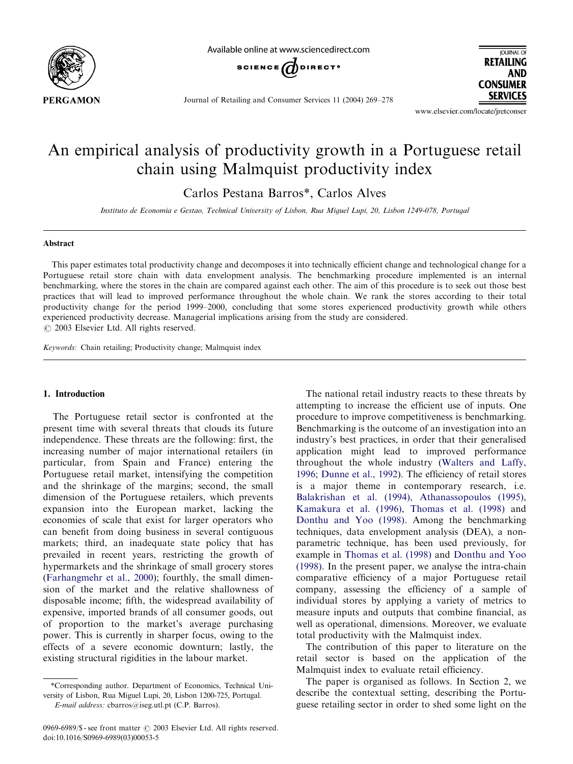

Available online at www.sciencedirect.com



**JOURNAL OF RETAILING AND CONSUMER SERVICES** 

Journal of Retailing and Consumer Services 11 (2004) 269–278

www.elsevier.com/locate/jretconser

## An empirical analysis of productivity growth in a Portuguese retail chain using Malmquist productivity index

Carlos Pestana Barros\*, Carlos Alves

Instituto de Economia e Gestao, Technical University of Lisbon, Rua Miguel Lupi, 20, Lisbon 1249-078, Portugal

### Abstract

This paper estimates total productivity change and decomposes it into technically efficient change and technological change for a Portuguese retail store chain with data envelopment analysis. The benchmarking procedure implemented is an internal benchmarking, where the stores in the chain are compared against each other. The aim of this procedure is to seek out those best practices that will lead to improved performance throughout the whole chain. We rank the stores according to their total productivity change for the period 1999–2000, concluding that some stores experienced productivity growth while others experienced productivity decrease. Managerial implications arising from the study are considered.  $\odot$  2003 Elsevier Ltd. All rights reserved.

Keywords: Chain retailing; Productivity change; Malmquist index

#### 1. Introduction

The Portuguese retail sector is confronted at the present time with several threats that clouds its future independence. These threats are the following: first, the increasing number of major international retailers (in particular, from Spain and France) entering the Portuguese retail market, intensifying the competition and the shrinkage of the margins; second, the small dimension of the Portuguese retailers, which prevents expansion into the European market, lacking the economies of scale that exist for larger operators who can benefit from doing business in several contiguous markets; third, an inadequate state policy that has prevailed in recent years, restricting the growth of hypermarkets and the shrinkage of small grocery stores [\(Farhangmehr et al., 2000](#page--1-0)); fourthly, the small dimension of the market and the relative shallowness of disposable income; fifth, the widespread availability of expensive, imported brands of all consumer goods, out of proportion to the market's average purchasing power. This is currently in sharper focus, owing to the effects of a severe economic downturn; lastly, the existing structural rigidities in the labour market.

E-mail address: cbarros@iseg.utl.pt (C.P. Barros).

The national retail industry reacts to these threats by attempting to increase the efficient use of inputs. One procedure to improve competitiveness is benchmarking. Benchmarking is the outcome of an investigation into an industry's best practices, in order that their generalised application might lead to improved performance throughout the whole industry [\(Walters and Laffy,](#page--1-0) [1996;](#page--1-0) [Dunne et al., 1992](#page--1-0)). The efficiency of retail stores is a major theme in contemporary research, i.e. [Balakrishan et al. \(1994\)](#page--1-0), [Athanassopoulos \(1995\)](#page--1-0), [Kamakura et al. \(1996\),](#page--1-0) [Thomas et al. \(1998\)](#page--1-0) and [Donthu and Yoo \(1998\)](#page--1-0). Among the benchmarking techniques, data envelopment analysis (DEA), a nonparametric technique, has been used previously, for example in [Thomas et al. \(1998\)](#page--1-0) and [Donthu and Yoo](#page--1-0) [\(1998\)](#page--1-0). In the present paper, we analyse the intra-chain comparative efficiency of a major Portuguese retail company, assessing the efficiency of a sample of individual stores by applying a variety of metrics to measure inputs and outputs that combine financial, as well as operational, dimensions. Moreover, we evaluate total productivity with the Malmquist index.

The contribution of this paper to literature on the retail sector is based on the application of the Malmquist index to evaluate retail efficiency.

The paper is organised as follows. In Section 2, we describe the contextual setting, describing the Portuguese retailing sector in order to shed some light on the

<sup>\*</sup>Corresponding author. Department of Economics, Technical University of Lisbon, Rua Miguel Lupi, 20, Lisbon 1200-725, Portugal.

<sup>0969-6989/\$ -</sup> see front matter  $\odot$  2003 Elsevier Ltd. All rights reserved. doi:10.1016/S0969-6989(03)00053-5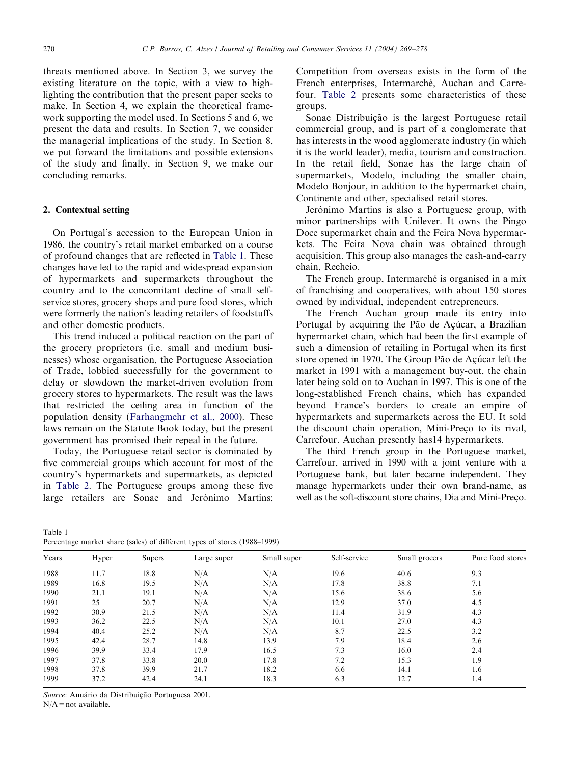threats mentioned above. In Section 3, we survey the existing literature on the topic, with a view to highlighting the contribution that the present paper seeks to make. In Section 4, we explain the theoretical framework supporting the model used. In Sections 5 and 6, we present the data and results. In Section 7, we consider the managerial implications of the study. In Section 8, we put forward the limitations and possible extensions of the study and finally, in Section 9, we make our concluding remarks.

#### 2. Contextual setting

On Portugal's accession to the European Union in 1986, the country's retail market embarked on a course of profound changes that are reflected in Table 1. These changes have led to the rapid and widespread expansion of hypermarkets and supermarkets throughout the country and to the concomitant decline of small selfservice stores, grocery shops and pure food stores, which were formerly the nation's leading retailers of foodstuffs and other domestic products.

This trend induced a political reaction on the part of the grocery proprietors (i.e. small and medium businesses) whose organisation, the Portuguese Association of Trade, lobbied successfully for the government to delay or slowdown the market-driven evolution from grocery stores to hypermarkets. The result was the laws that restricted the ceiling area in function of the population density ([Farhangmehr et al., 2000](#page--1-0)). These laws remain on the Statute Book today, but the present government has promised their repeal in the future.

Today, the Portuguese retail sector is dominated by five commercial groups which account for most of the country's hypermarkets and supermarkets, as depicted in [Table 2](#page--1-0). The Portuguese groups among these five large retailers are Sonae and Jerónimo Martins; Competition from overseas exists in the form of the French enterprises, Intermarché, Auchan and Carrefour. [Table 2](#page--1-0) presents some characteristics of these groups.

Sonae Distribuição is the largest Portuguese retail commercial group, and is part of a conglomerate that has interests in the wood agglomerate industry (in which it is the world leader), media, tourism and construction. In the retail field, Sonae has the large chain of supermarkets, Modelo, including the smaller chain, Modelo Bonjour, in addition to the hypermarket chain, Continente and other, specialised retail stores.

Jerónimo Martins is also a Portuguese group, with minor partnerships with Unilever. It owns the Pingo Doce supermarket chain and the Feira Nova hypermarkets. The Feira Nova chain was obtained through acquisition. This group also manages the cash-and-carry chain, Recheio.

The French group, Intermarché is organised in a mix of franchising and cooperatives, with about 150 stores owned by individual, independent entrepreneurs.

The French Auchan group made its entry into Portugal by acquiring the Pão de Açúcar, a Brazilian hypermarket chain, which had been the first example of such a dimension of retailing in Portugal when its first store opened in 1970. The Group Pão de Açúcar left the market in 1991 with a management buy-out, the chain later being sold on to Auchan in 1997. This is one of the long-established French chains, which has expanded beyond France's borders to create an empire of hypermarkets and supermarkets across the EU. It sold the discount chain operation, Mini-Preço to its rival, Carrefour. Auchan presently has14 hypermarkets.

The third French group in the Portuguese market, Carrefour, arrived in 1990 with a joint venture with a Portuguese bank, but later became independent. They manage hypermarkets under their own brand-name, as well as the soft-discount store chains, Dia and Mini-Preço.

Table 1 Percentage market share (sales) of different types of stores (1988–1999)

| Years | Hyper | <b>Supers</b> | Large super | Small super | Self-service | Small grocers | Pure food stores |
|-------|-------|---------------|-------------|-------------|--------------|---------------|------------------|
| 1988  | 11.7  | 18.8          | N/A         | N/A         | 19.6         | 40.6          | 9.3              |
| 1989  | 16.8  | 19.5          | N/A         | N/A         | 17.8         | 38.8          | 7.1              |
| 1990  | 21.1  | 19.1          | N/A         | N/A         | 15.6         | 38.6          | 5.6              |
| 1991  | 25    | 20.7          | N/A         | N/A         | 12.9         | 37.0          | 4.5              |
| 1992  | 30.9  | 21.5          | N/A         | N/A         | 11.4         | 31.9          | 4.3              |
| 1993  | 36.2  | 22.5          | N/A         | N/A         | 10.1         | 27.0          | 4.3              |
| 1994  | 40.4  | 25.2          | N/A         | N/A         | 8.7          | 22.5          | 3.2              |
| 1995  | 42.4  | 28.7          | 14.8        | 13.9        | 7.9          | 18.4          | 2.6              |
| 1996  | 39.9  | 33.4          | 17.9        | 16.5        | 7.3          | 16.0          | 2.4              |
| 1997  | 37.8  | 33.8          | 20.0        | 17.8        | 7.2          | 15.3          | 1.9              |
| 1998  | 37.8  | 39.9          | 21.7        | 18.2        | 6.6          | 14.1          | 1.6              |
| 1999  | 37.2  | 42.4          | 24.1        | 18.3        | 6.3          | 12.7          | 1.4              |

Source: Anuário da Distribuição Portuguesa 2001.  $N/A$  = not available.